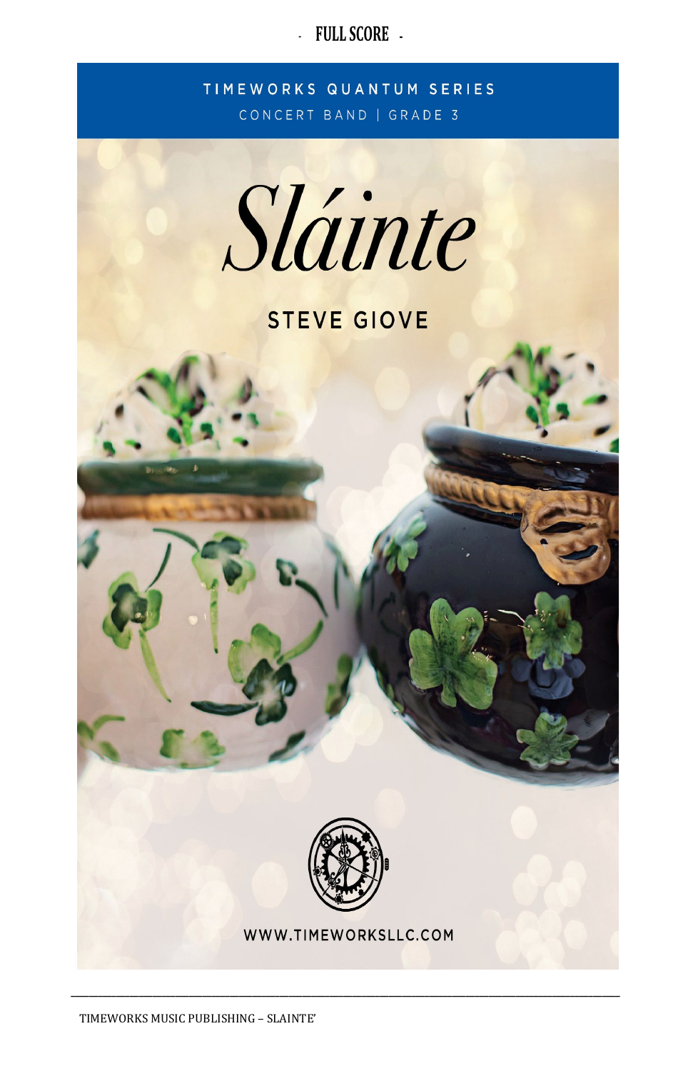- FULL SCORE -

TIMEWORKS QUANTUM SERIES CONCERT BAND | GRADE 3



**STEVE GIOVE** 



TIMEWORKS MUSIC PUBLISHING - SLAINTE'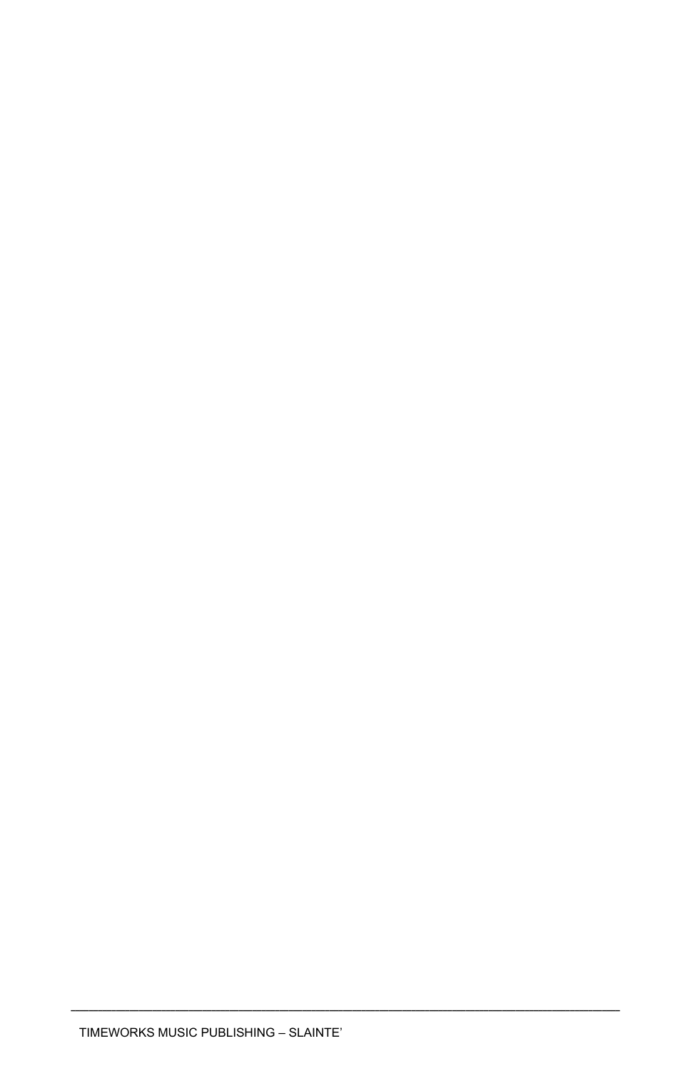## TIMEWORKS MUSIC PUBLISHING - SLAINTE'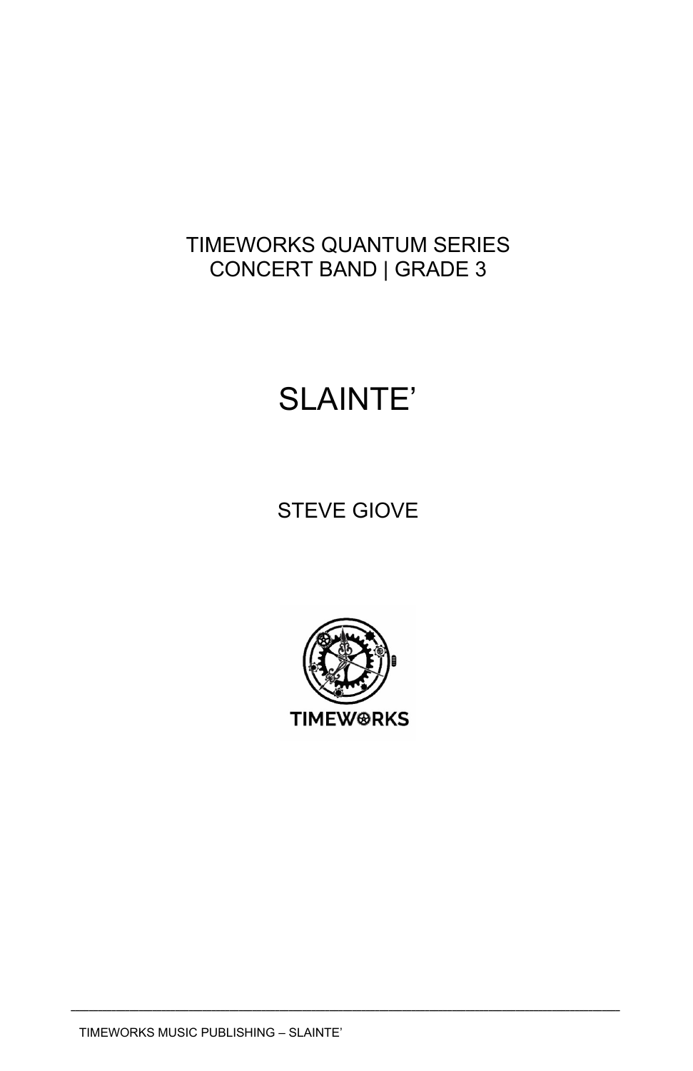**\_\_\_\_\_\_\_\_\_\_\_\_\_\_\_\_\_\_\_\_\_\_\_\_\_\_\_\_\_\_\_\_\_\_\_\_\_\_\_\_\_\_\_\_\_\_\_\_\_\_\_\_\_\_\_\_\_\_\_\_\_\_\_\_\_\_\_\_\_\_\_\_\_\_\_\_\_\_\_\_\_\_\_\_\_\_\_\_\_\_\_\_\_\_\_\_\_\_\_\_\_\_\_\_\_\_\_\_\_\_\_\_\_\_\_\_\_\_\_\_\_**

### TIMEWORKS MUSIC PUBLISHING – SLAINTE'

TIMEWORKS QUANTUM SERIES CONCERT BAND | GRADE 3

## SLAINTE'

STEVE GIOVE

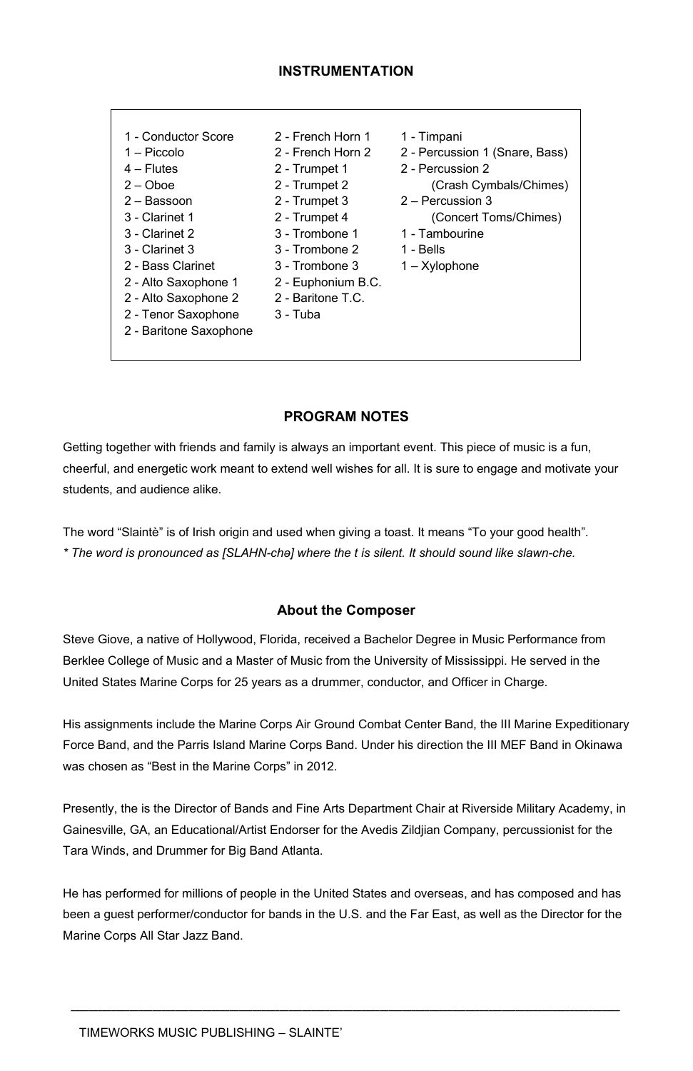**\_\_\_\_\_\_\_\_\_\_\_\_\_\_\_\_\_\_\_\_\_\_\_\_\_\_\_\_\_\_\_\_\_\_\_\_\_\_\_\_\_\_\_\_\_\_\_\_\_\_\_\_\_\_\_\_\_\_\_\_\_\_\_\_\_\_\_\_\_\_\_\_\_\_\_\_\_\_\_\_\_\_\_\_\_\_\_\_\_\_\_\_\_\_\_\_\_\_\_\_\_\_\_\_\_\_\_\_\_\_\_\_\_\_\_\_\_\_\_\_\_**

## **INSTRUMENTATION**

**PROGRAM NOTES** 

Getting together with friends and family is always an important event. This piece of music is a fun, cheerful, and energetic work meant to extend well wishes for all. It is sure to engage and motivate your students, and audience alike.

The word "Slaintѐ" is of Irish origin and used when giving a toast. It means "To your good health".

*\* The word is pronounced as [SLAHN-chə] where the t is silent. It should sound like slawn-che.* 

## **About the Composer**

Steve Giove, a native of Hollywood, Florida, received a Bachelor Degree in Music Performance from Berklee College of Music and a Master of Music from the University of Mississippi. He served in the United States Marine Corps for 25 years as a drummer, conductor, and Officer in Charge.

- -
- 1 Piccolo 2 French Horn 2 2 Percussion 1 (Snare, Bass)
- 4 Flutes 2 Trumpet 1 2 Percussion 2
- 2 Oboe 2 Trumpet 2 (Crash Cymbals/Chimes)
- 3 Clarinet 1 2 Trumpet 4 (Concert Toms/Chimes)
- 3 Clarinet 2 **3 Trombone 1** 1 Tambourine
	-
- 2 Bass Clarinet 3 Trombone 3 1 Xylophone

His assignments include the Marine Corps Air Ground Combat Center Band, the III Marine Expeditionary Force Band, and the Parris Island Marine Corps Band. Under his direction the III MEF Band in Okinawa was chosen as "Best in the Marine Corps" in 2012.

- 1 Conductor Score 2 French Horn 1 1 Timpani
- 
- 
- 
- 2 Bassoon 2 Trumpet 3 2 Percussion 3
- 
- 
- 3 Clarinet 3 3 Trombone 2 1 Bells
- 
- 2 Alto Saxophone 1 2 Euphonium B.C.
- 2 Alto Saxophone 2 2 Baritone T.C.
- 2 Tenor Saxophone 3 Tuba
- 
- 2 Baritone Saxophone

Presently, the is the Director of Bands and Fine Arts Department Chair at Riverside Military Academy, in Gainesville, GA, an Educational/Artist Endorser for the Avedis Zildjian Company, percussionist for the Tara Winds, and Drummer for Big Band Atlanta.

He has performed for millions of people in the United States and overseas, and has composed and has been a guest performer/conductor for bands in the U.S. and the Far East, as well as the Director for the Marine Corps All Star Jazz Band.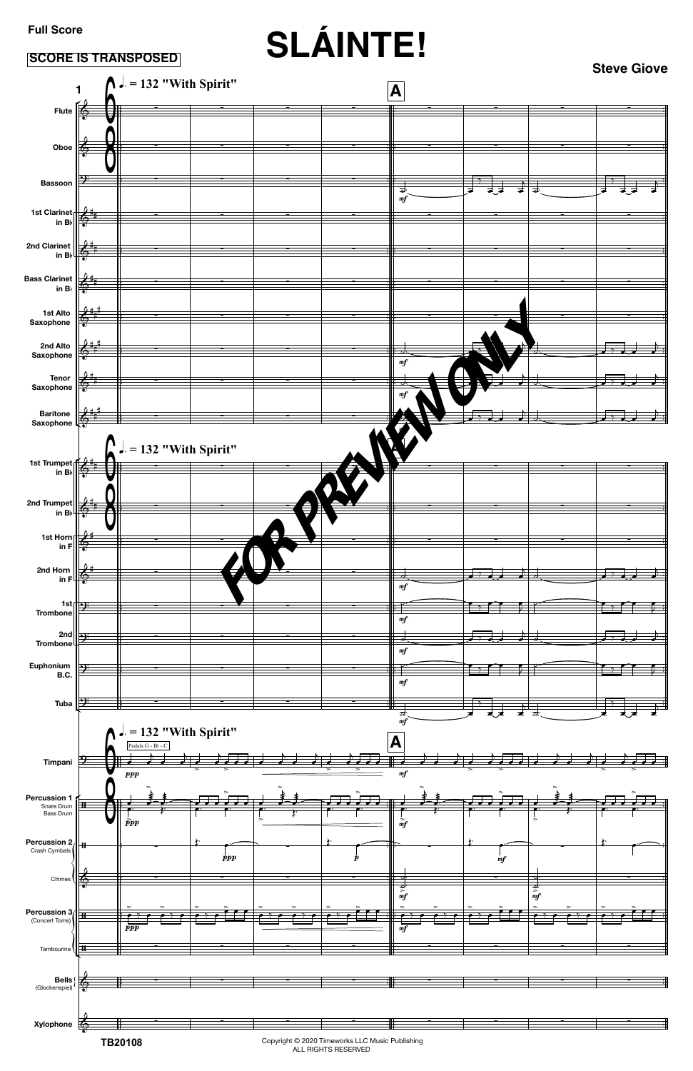**Steve Giove**



**SCORE IS TRANSPOSED**

# Full Score<br>**SCORE IS TRANSPOSED**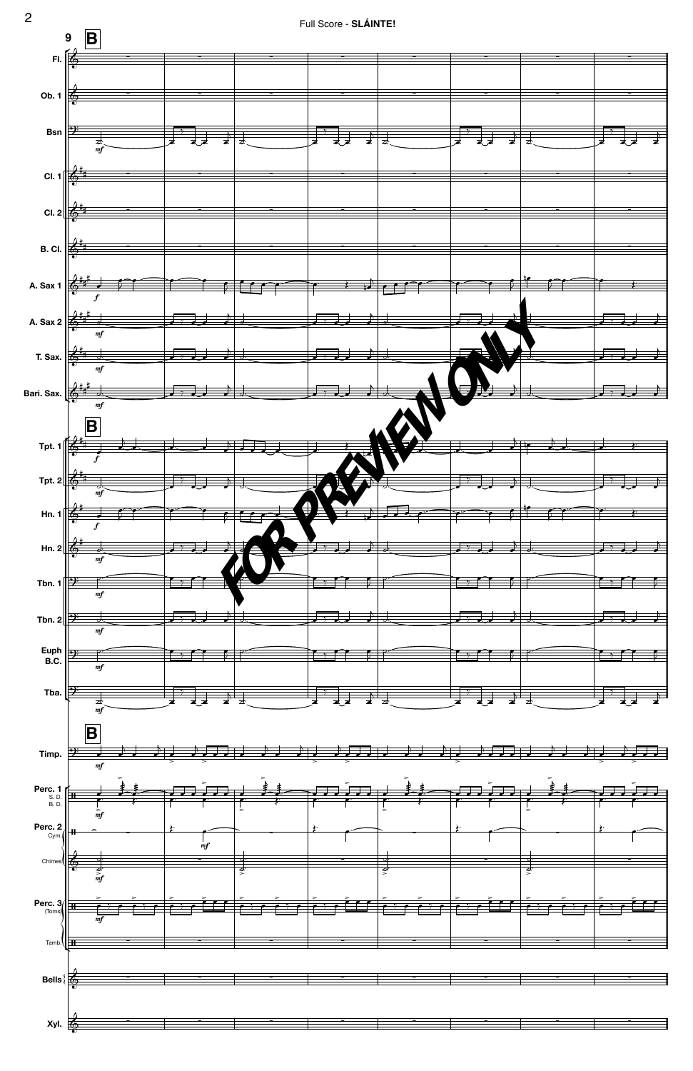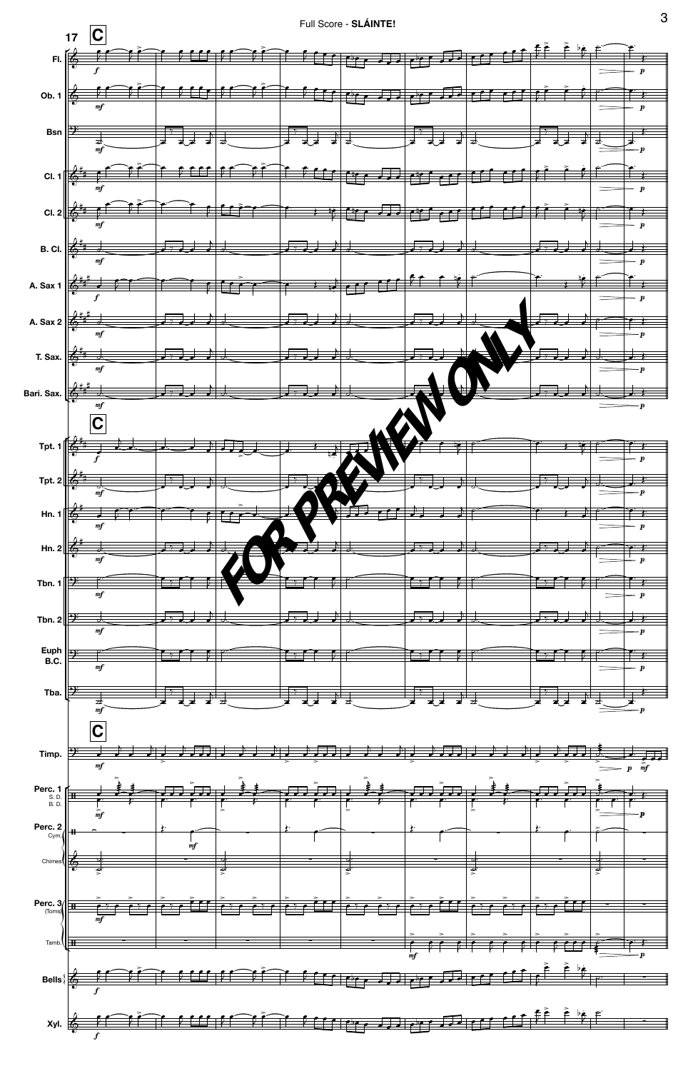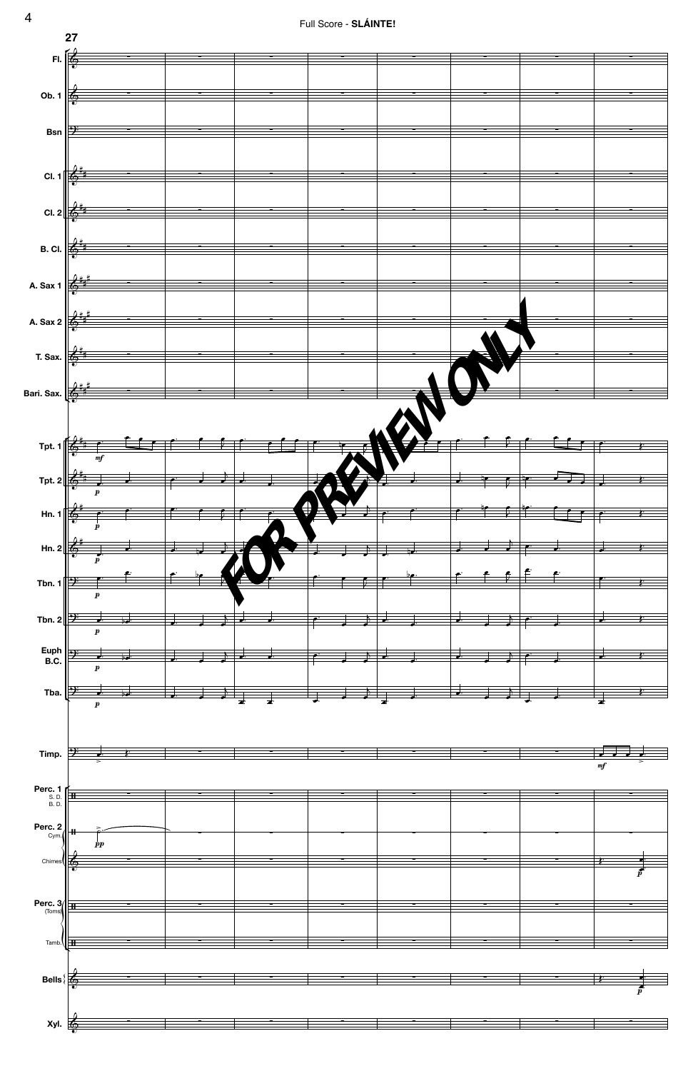

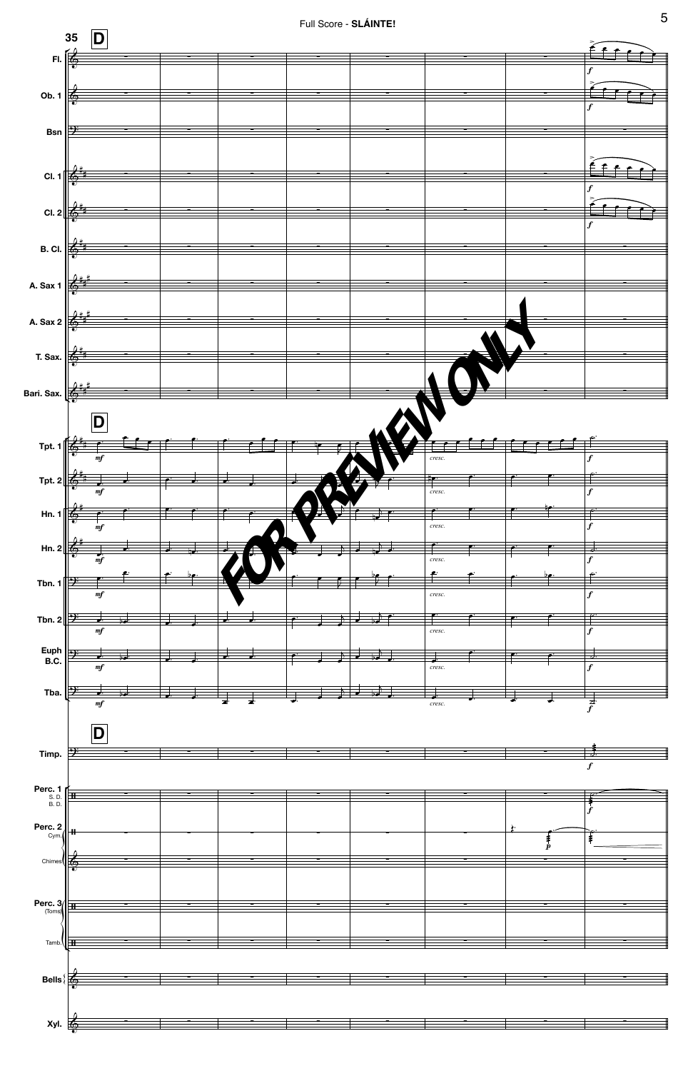

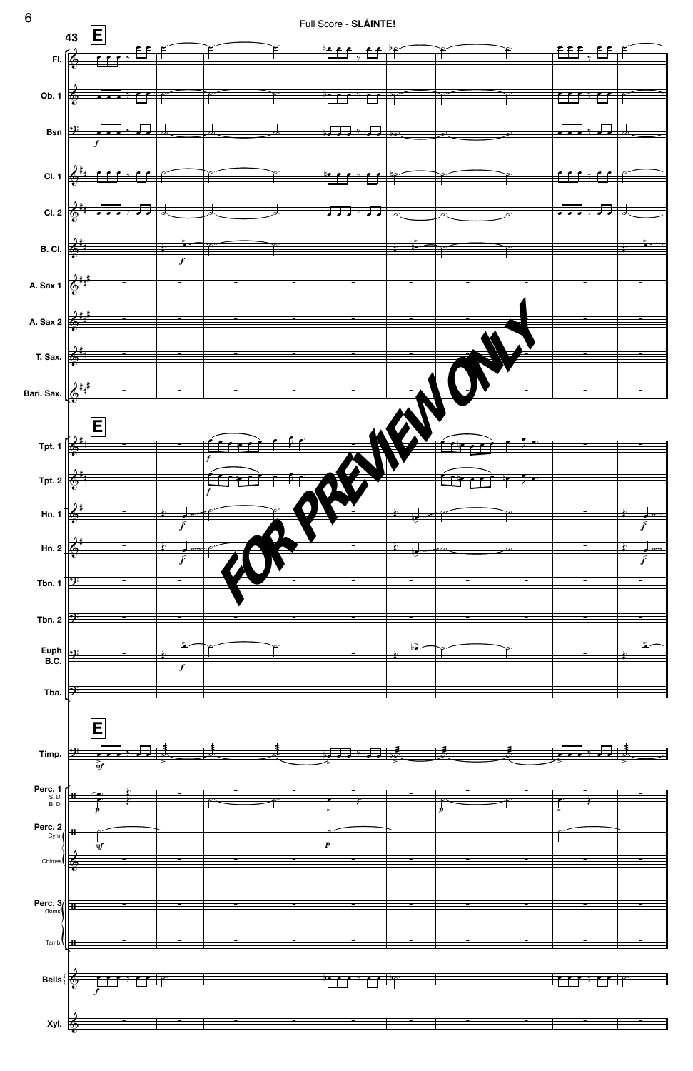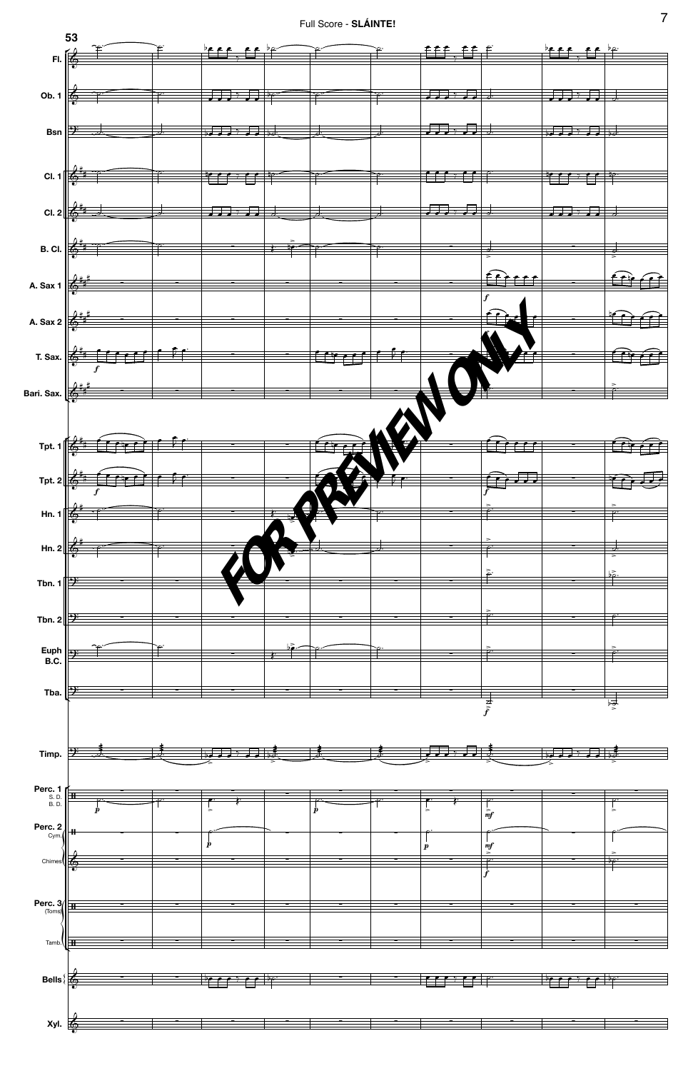

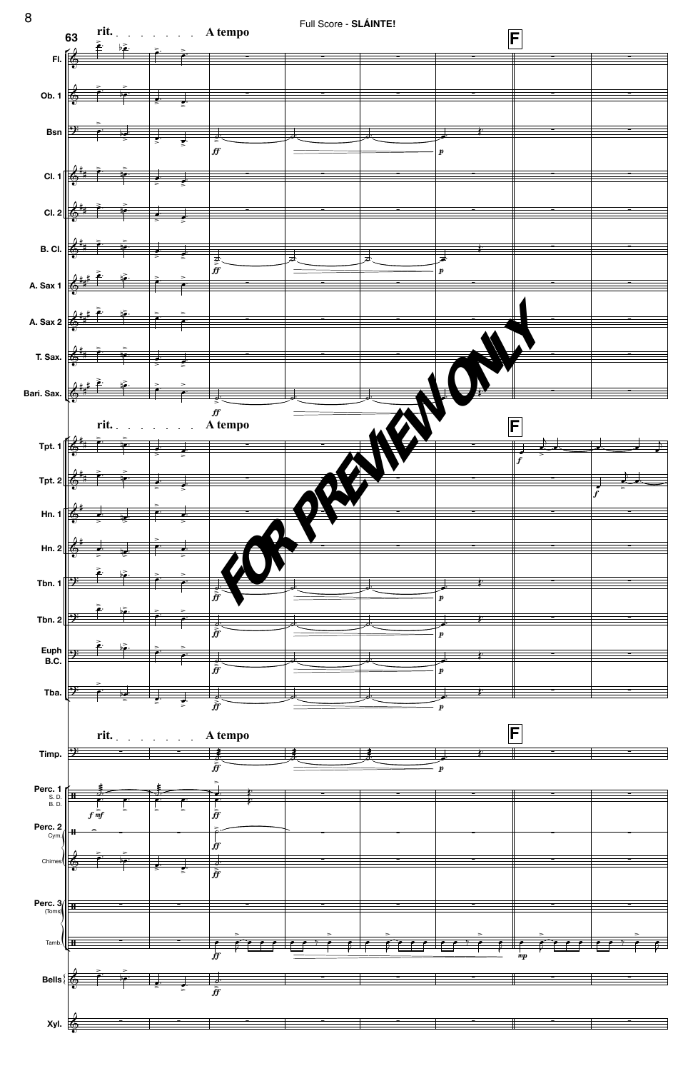F. (b. 1 as  $\frac{1}{100}$  as  $\frac{1}{100}$  as  $\frac{1}{100}$  as  $\frac{1}{100}$  as  $\frac{1}{100}$  as  $\frac{1}{100}$  as  $\frac{1}{100}$  as  $\frac{1}{100}$  as  $\frac{1}{100}$  as  $\frac{1}{100}$  as  $\frac{1}{100}$  as  $\frac{1}{100}$  as  $\frac{1}{100}$  as  $\frac{1}{100}$  as **Xyl. rit. A tempo 63 F** ff p ff p ff p f **rit. A tempo F** f ff p ff p ff p ff p ff p **rit. A tempo F** f mf ffffffff mp ff & > > > > ∑ ∑ ∑ ∑ ∑ ∑ & > > > > ∑ ∑ ∑ ∑ ∑ ∑ ? > > > > > ∑ ∑ &## > > > > ∑ ∑ ∑ ∑ ∑ ∑ &## > > > > ∑ ∑ ∑ ∑ ∑ ∑ &## > > > > > ∑ ∑ &### > > > > ∑ ∑ ∑ ∑ ∑ ∑ &### > > > > ∑ ∑ ∑ ∑ ∑ ∑ &## > > > > ∑ ∑ ∑ ∑ ∑ ∑ &### > > > > > ∑ ∑ &## > > > > ∑ ∑ ∑ ∑ > &## > > > > ∑ ∑ ∑ ∑ ∑ > &# > > > > ∑ ∑ ∑ ∑ ∑ ∑ &# > > > > ∑ ∑ ∑ ∑ ∑ ∑ ? > > > > > ∑ ∑ ? > > > > > ∑ ∑ ? > > > > > ∑ ∑ ? > > > > > ∑ ∑ ? ∑ ∑ > ∑ ∑ / > > > > >> ∑ ∑ ∑ ∑ ∑ / ∑ ∑ > ∑ ∑ ∑ ∑ ∑ & > > > > > ∑ ∑ ∑ ∑ ∑ / ∑ ∑ ∑ ∑ ∑ ∑ ∑ ∑ / ∑ ∑ > > > > > > & > > > > > ∑ ∑ ∑ ∑ ∑ & ∑ ∑ ∑ ∑ ∑ ∑ ∑ ∑ œ™ bœ™ œ™ œ™ œ™ bœ™ œ™ œ™ œ™ bœ™ œ™ œ™ ˙™ ˙™ ˙™ œ™ Œ™ œ™ nœ™ œ™ œ™ œ™ nœ™ œ™ œ™ œ™ nœ™ œ™ œ™ ˙™ ˙™ ˙™ œ™ Œ™ œ™ nœ™ œ™ œ™ œ™ nœ™ œ™ œ™ œ™ nœ™ œ™ œ™ œ™ nœ™ œ™ œ™ ˙™ ˙™ ˙™ œ™ Œ™ œ™ nœ™ œ™ œ™ œ œj œ™ œ™ œ œj œ™ nœ™ œ™ œ™ œ œj œ™ œ™ nœ™ œ™ œ™ œ™ nœ™ œ™ œ™ œ™ bœ™ œ™ œ™ ˙™ ˙™ ˙™ œ™ Œ™ œ™ bœ™ œ™ œ™ ˙™ ˙™ ˙™ œ™ Œ™ œ™ bœ™ œ™ œ™ ˙™ ˙™ ˙™ œ™ Œ™ œ™ bœ™ œ™ œ™ ˙™ ˙™ ˙™ œ™ Œ™ æ˙™ æ˙™ æ˙™ œ™ Œ™ æ˙™ œ™ œ™ æ˙™ œ™ œ™ œ™ œ™ Œ™™ ˙™ œ™ bœ™ œ™ œ™ ˙™ œ œJ œ œ œ œ œ ‰ œ œJ œ œJ œ œ œ œ œ ‰ œ œJ œ œJ œ œ œ œ œ ‰ œ œJ œ™ bœ™ œ™ œ™ ˙™ Full Score - **SLÁINTE!** 8 **FOR PREVIEW ONLY**

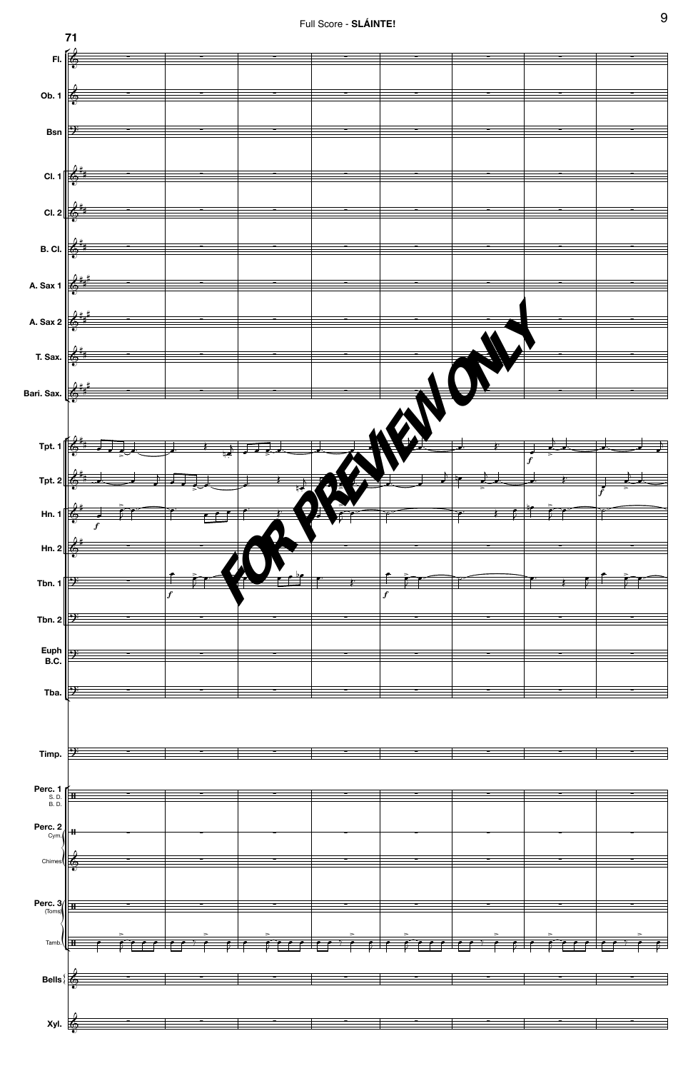

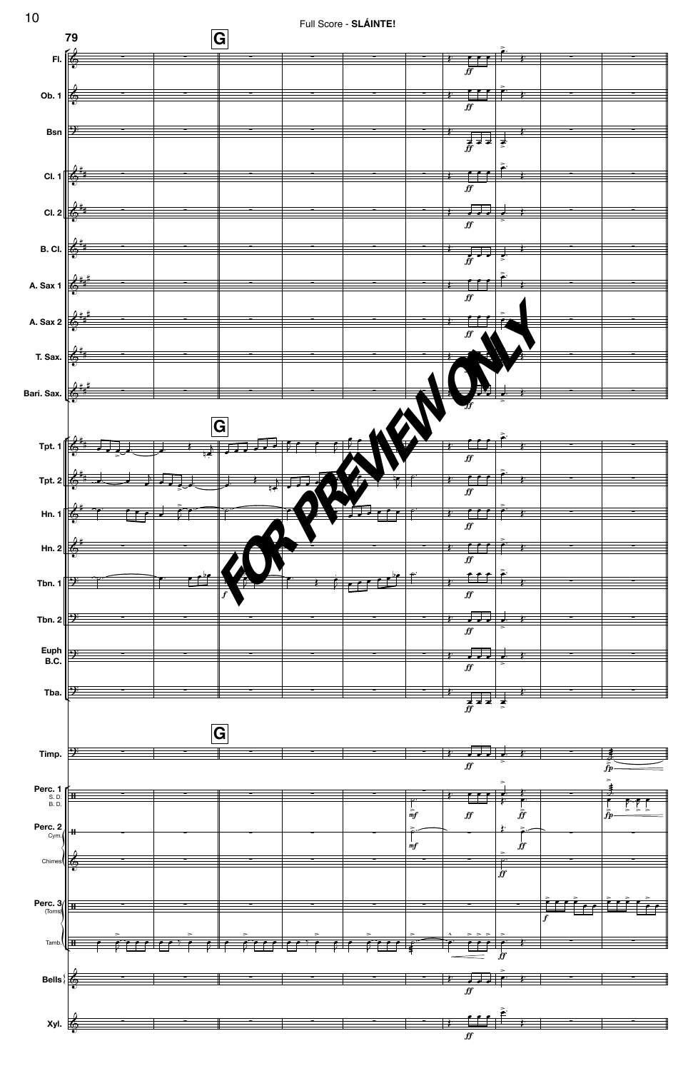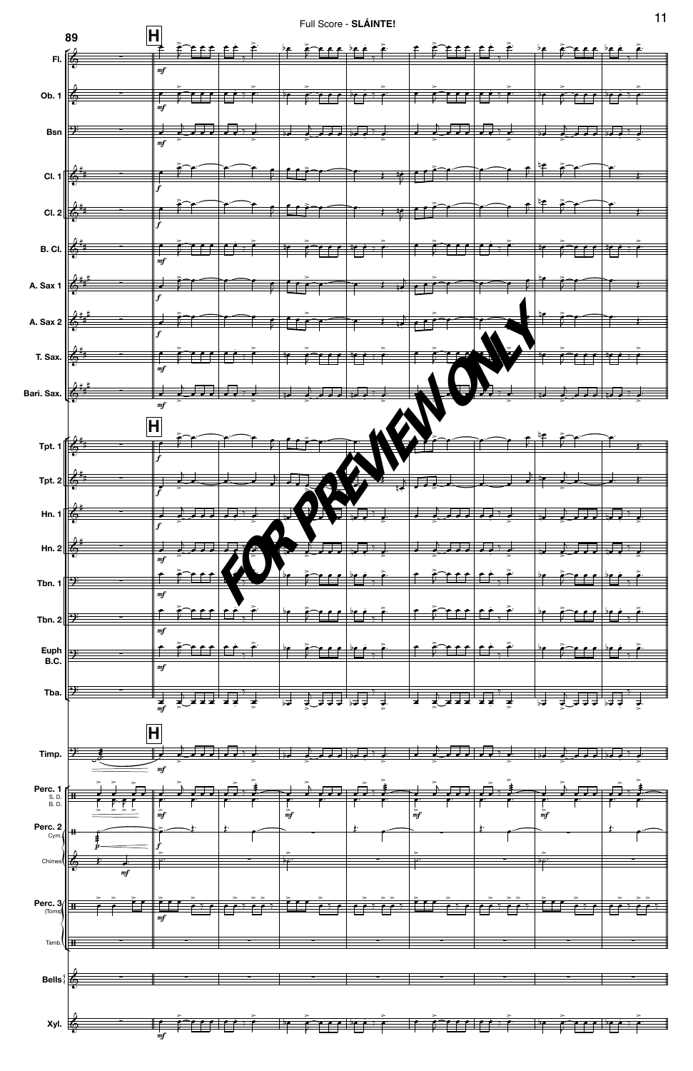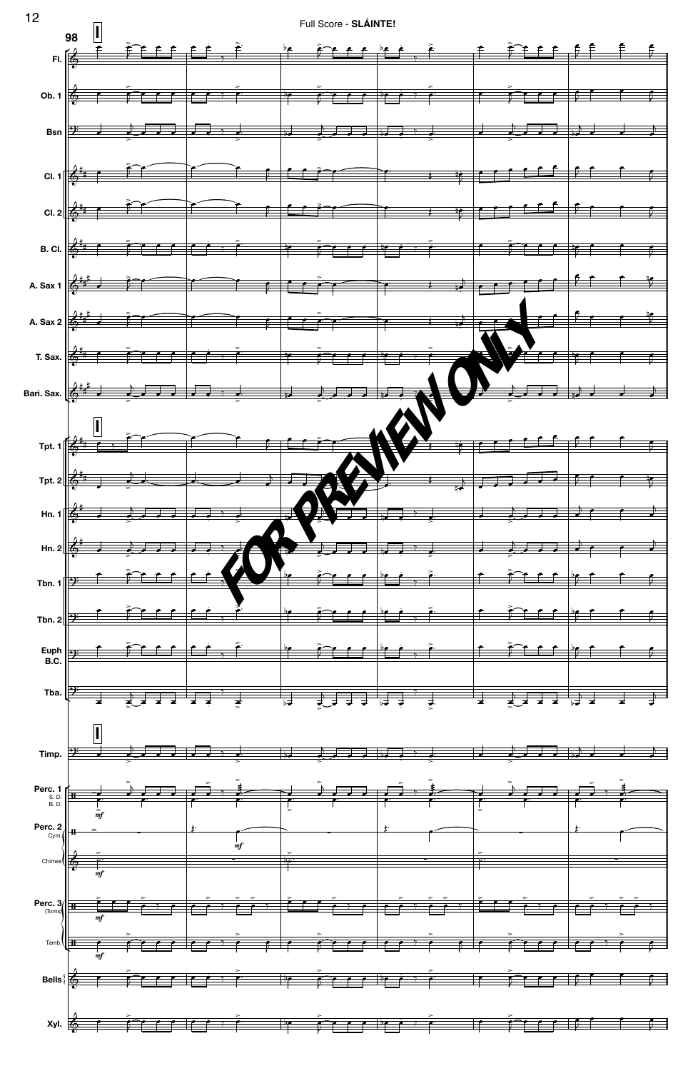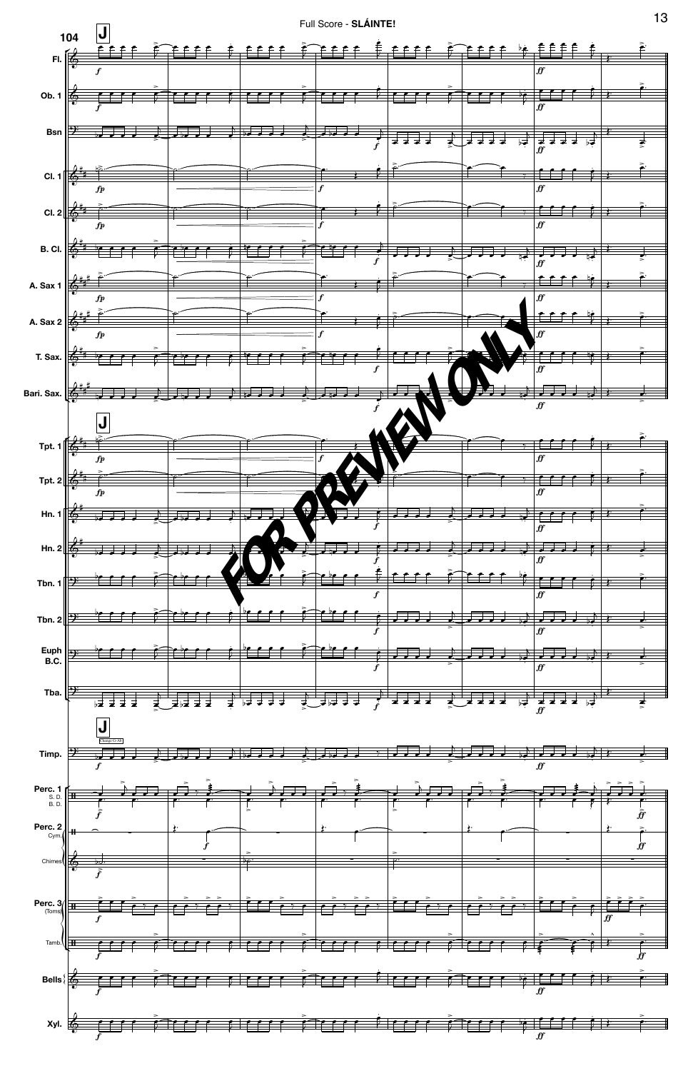![](_page_16_Figure_0.jpeg)